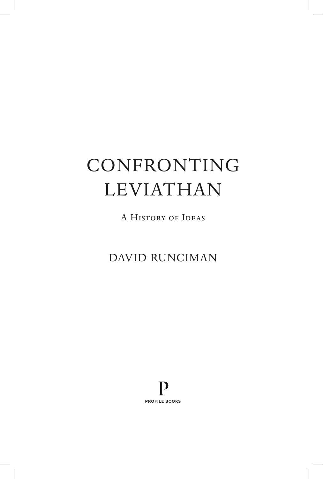# CONFRONTING LEVIATHAN

A HISTORY OF IDEAS

DAVID RUNCIMAN

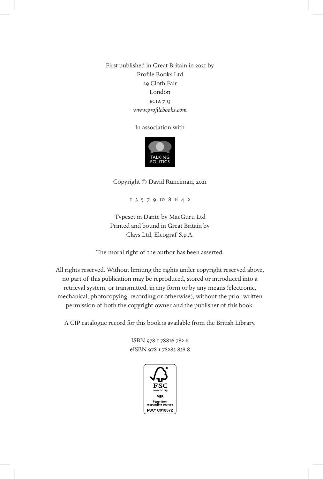First published in Great Britain in 2021 by Profile Books Ltd 29 Cloth Fair London ec1a 7jq *www.profilebooks.com*

In association with



Copyright © David Runciman, 2021

1 3 5 7 9 10 8 6 4 2

Typeset in Dante by MacGuru Ltd Printed and bound in Great Britain by Clays Ltd, Elcograf S.p.A.

The moral right of the author has been asserted.

All rights reserved. Without limiting the rights under copyright reserved above, no part of this publication may be reproduced, stored or introduced into a retrieval system, or transmitted, in any form or by any means (electronic, mechanical, photocopying, recording or otherwise), without the prior written permission of both the copyright owner and the publisher of this book.

A CIP catalogue record for this book is available from the British Library.

ISBN 978 1 78816 782 6 eISBN 978 1 78283 838 8

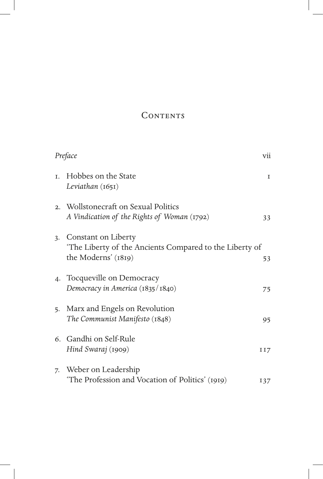## **CONTENTS**

|    | Preface                                                                                              | vii         |
|----|------------------------------------------------------------------------------------------------------|-------------|
| T. | Hobbes on the State<br>Leviathan $(1651)$                                                            | $\mathbf I$ |
|    | 2. Wollstonecraft on Sexual Politics<br>A Vindication of the Rights of Woman (1792)                  | 33          |
| 3. | Constant on Liberty<br>The Liberty of the Ancients Compared to the Liberty of<br>the Moderns' (1819) | 53          |
|    | 4. Tocqueville on Democracy<br>Democracy in America (1835/1840)                                      | 75          |
| 5. | Marx and Engels on Revolution<br>The Communist Manifesto (1848)                                      | 95          |
|    | 6. Gandhi on Self-Rule<br>Hind Swaraj (1909)                                                         | II7         |
| 7. | Weber on Leadership<br>'The Profession and Vocation of Politics' (1919)                              | 137         |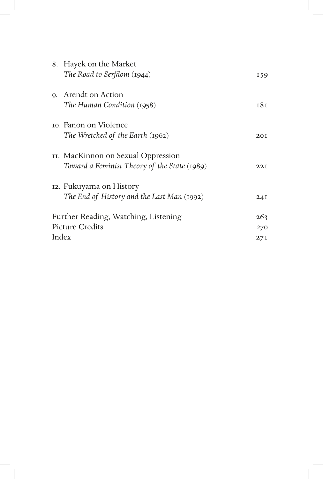|                                      | 8. Hayek on the Market                       |                 |
|--------------------------------------|----------------------------------------------|-----------------|
|                                      | The Road to Serfdom (1944)                   | 159             |
| $Q_{\star}$                          | Arendt on Action                             |                 |
|                                      | The Human Condition (1958)                   | 18 <sub>1</sub> |
|                                      | to. Fanon on Violence                        |                 |
|                                      | The Wretched of the Earth (1962)             | 20I             |
|                                      | II. MacKinnon on Sexual Oppression           |                 |
|                                      | Toward a Feminist Theory of the State (1989) | 22I             |
|                                      | 12. Fukuyama on History                      |                 |
|                                      | The End of History and the Last Man (1992)   | 24I             |
| Further Reading, Watching, Listening |                                              | 263             |
| <b>Picture Credits</b>               |                                              | 270             |
| Index                                |                                              | 27I             |
|                                      |                                              |                 |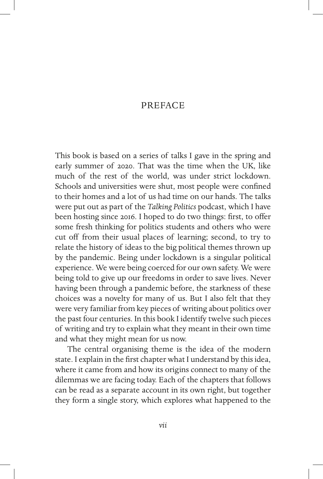## PREFACE

This book is based on a series of talks I gave in the spring and early summer of 2020. That was the time when the UK, like much of the rest of the world, was under strict lockdown. Schools and universities were shut, most people were confined to their homes and a lot of us had time on our hands. The talks were put out as part of the *Talking Politics* podcast, which I have been hosting since 2016. I hoped to do two things: first, to offer some fresh thinking for politics students and others who were cut off from their usual places of learning; second, to try to relate the history of ideas to the big political themes thrown up by the pandemic. Being under lockdown is a singular political experience. We were being coerced for our own safety. We were being told to give up our freedoms in order to save lives. Never having been through a pandemic before, the starkness of these choices was a novelty for many of us. But I also felt that they were very familiar from key pieces of writing about politics over the past four centuries. In this book I identify twelve such pieces of writing and try to explain what they meant in their own time and what they might mean for us now.

The central organising theme is the idea of the modern state. I explain in the first chapter what I understand by this idea, where it came from and how its origins connect to many of the dilemmas we are facing today. Each of the chapters that follows can be read as a separate account in its own right, but together they form a single story, which explores what happened to the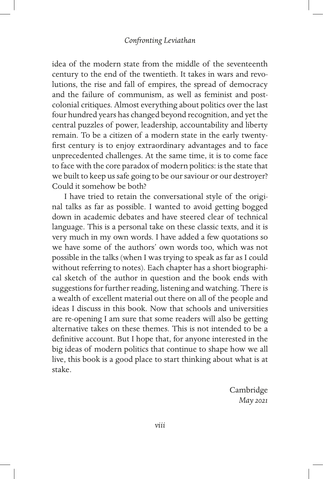idea of the modern state from the middle of the seventeenth century to the end of the twentieth. It takes in wars and revolutions, the rise and fall of empires, the spread of democracy and the failure of communism, as well as feminist and postcolonial critiques. Almost everything about politics over the last four hundred years has changed beyond recognition, and yet the central puzzles of power, leadership, accountability and liberty remain. To be a citizen of a modern state in the early twentyfirst century is to enjoy extraordinary advantages and to face unprecedented challenges. At the same time, it is to come face to face with the core paradox of modern politics: is the state that we built to keep us safe going to be our saviour or our destroyer? Could it somehow be both?

I have tried to retain the conversational style of the original talks as far as possible. I wanted to avoid getting bogged down in academic debates and have steered clear of technical language. This is a personal take on these classic texts, and it is very much in my own words. I have added a few quotations so we have some of the authors' own words too, which was not possible in the talks (when I was trying to speak as far as I could without referring to notes). Each chapter has a short biographical sketch of the author in question and the book ends with suggestions for further reading, listening and watching. There is a wealth of excellent material out there on all of the people and ideas I discuss in this book. Now that schools and universities are re-opening I am sure that some readers will also be getting alternative takes on these themes. This is not intended to be a definitive account. But I hope that, for anyone interested in the big ideas of modern politics that continue to shape how we all live, this book is a good place to start thinking about what is at stake.

> Cambridge *May 2021*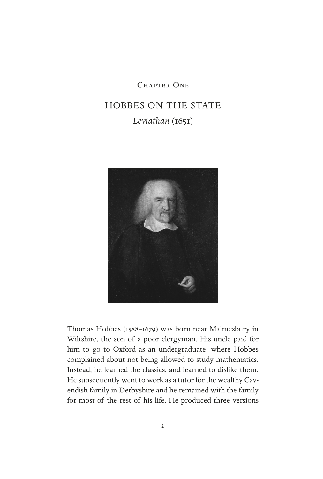## CHAPTER ONE

## HOBBES ON THE STATE *Leviathan* (1651)



Thomas Hobbes (1588–1679) was born near Malmesbury in Wiltshire, the son of a poor clergyman. His uncle paid for him to go to Oxford as an undergraduate, where Hobbes complained about not being allowed to study mathematics. Instead, he learned the classics, and learned to dislike them. He subsequently went to work as a tutor for the wealthy Cavendish family in Derbyshire and he remained with the family for most of the rest of his life. He produced three versions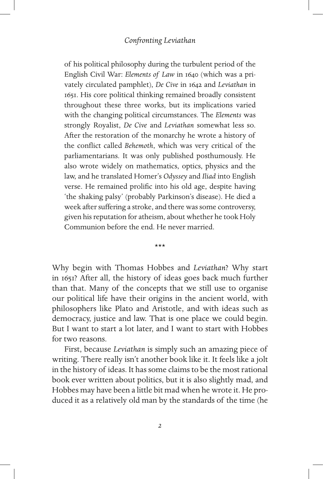of his political philosophy during the turbulent period of the English Civil War: *Elements of Law* in 1640 (which was a privately circulated pamphlet), *De Cive* in 1642 and *Leviathan* in 1651. His core political thinking remained broadly consistent throughout these three works, but its implications varied with the changing political circumstances. The *Elements* was strongly Royalist, *De Cive* and *Leviathan* somewhat less so. After the restoration of the monarchy he wrote a history of the conflict called *Behemoth*, which was very critical of the parliamentarians. It was only published posthumously. He also wrote widely on mathematics, optics, physics and the law, and he translated Homer's *Odyssey* and *Iliad* into English verse. He remained prolific into his old age, despite having 'the shaking palsy' (probably Parkinson's disease). He died a week after suffering a stroke, and there was some controversy, given his reputation for atheism, about whether he took Holy Communion before the end. He never married.

\*\*\*

Why begin with Thomas Hobbes and *Leviathan*? Why start in 1651? After all, the history of ideas goes back much further than that. Many of the concepts that we still use to organise our political life have their origins in the ancient world, with philosophers like Plato and Aristotle, and with ideas such as democracy, justice and law. That is one place we could begin. But I want to start a lot later, and I want to start with Hobbes for two reasons.

First, because *Leviathan* is simply such an amazing piece of writing. There really isn't another book like it. It feels like a jolt in the history of ideas. It has some claims to be the most rational book ever written about politics, but it is also slightly mad, and Hobbes may have been a little bit mad when he wrote it. He produced it as a relatively old man by the standards of the time (he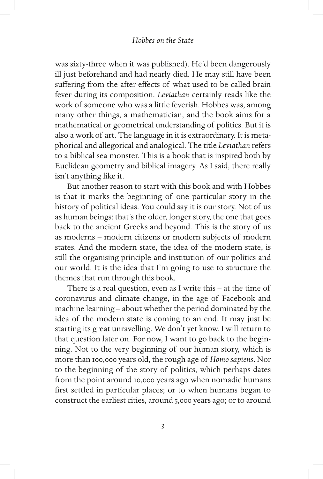was sixty-three when it was published). He'd been dangerously ill just beforehand and had nearly died. He may still have been suffering from the after-effects of what used to be called brain fever during its composition. *Leviathan* certainly reads like the work of someone who was a little feverish. Hobbes was, among many other things, a mathematician, and the book aims for a mathematical or geometrical understanding of politics. But it is also a work of art. The language in it is extraordinary. It is metaphorical and allegorical and analogical. The title *Leviathan* refers to a biblical sea monster. This is a book that is inspired both by Euclidean geometry and biblical imagery. As I said, there really isn't anything like it.

But another reason to start with this book and with Hobbes is that it marks the beginning of one particular story in the history of political ideas. You could say it is our story. Not of us as human beings: that's the older, longer story, the one that goes back to the ancient Greeks and beyond. This is the story of us as moderns – modern citizens or modern subjects of modern states. And the modern state, the idea of the modern state, is still the organising principle and institution of our politics and our world. It is the idea that I'm going to use to structure the themes that run through this book.

There is a real question, even as I write this – at the time of coronavirus and climate change, in the age of Facebook and machine learning – about whether the period dominated by the idea of the modern state is coming to an end. It may just be starting its great unravelling. We don't yet know. I will return to that question later on. For now, I want to go back to the beginning. Not to the very beginning of our human story, which is more than 100,000 years old, the rough age of *Homo sapiens*. Nor to the beginning of the story of politics, which perhaps dates from the point around 10,000 years ago when nomadic humans first settled in particular places; or to when humans began to construct the earliest cities, around 5,000 years ago; or to around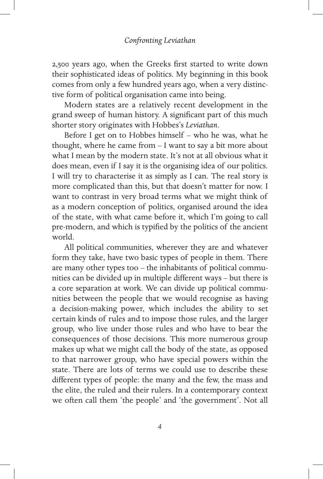2,500 years ago, when the Greeks first started to write down their sophisticated ideas of politics. My beginning in this book comes from only a few hundred years ago, when a very distinctive form of political organisation came into being.

Modern states are a relatively recent development in the grand sweep of human history. A significant part of this much shorter story originates with Hobbes's *Leviathan*.

Before I get on to Hobbes himself – who he was, what he thought, where he came from – I want to say a bit more about what I mean by the modern state. It's not at all obvious what it does mean, even if I say it is the organising idea of our politics. I will try to characterise it as simply as I can. The real story is more complicated than this, but that doesn't matter for now. I want to contrast in very broad terms what we might think of as a modern conception of politics, organised around the idea of the state, with what came before it, which I'm going to call pre-modern, and which is typified by the politics of the ancient world.

All political communities, wherever they are and whatever form they take, have two basic types of people in them. There are many other types too – the inhabitants of political communities can be divided up in multiple different ways – but there is a core separation at work. We can divide up political communities between the people that we would recognise as having a decision-making power, which includes the ability to set certain kinds of rules and to impose those rules, and the larger group, who live under those rules and who have to bear the consequences of those decisions. This more numerous group makes up what we might call the body of the state, as opposed to that narrower group, who have special powers within the state. There are lots of terms we could use to describe these different types of people: the many and the few, the mass and the elite, the ruled and their rulers. In a contemporary context we often call them 'the people' and 'the government'. Not all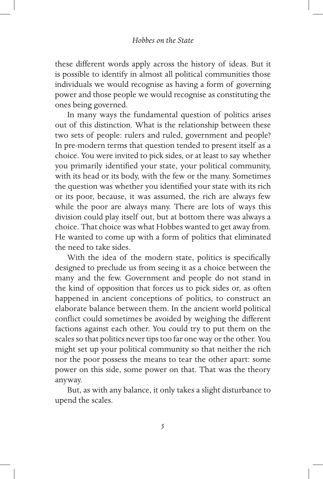these different words apply across the history of ideas. But it is possible to identify in almost all political communities those individuals we would recognise as having a form of governing power and those people we would recognise as constituting the ones being governed.

In many ways the fundamental question of politics arises out of this distinction. What is the relationship between these two sets of people: rulers and ruled, government and people? In pre-modern terms that question tended to present itself as a choice. You were invited to pick sides, or at least to say whether you primarily identified your state, your political community, with its head or its body, with the few or the many. Sometimes the question was whether you identified your state with its rich or its poor, because, it was assumed, the rich are always few while the poor are always many. There are lots of ways this division could play itself out, but at bottom there was always a choice. That choice was what Hobbes wanted to get away from. He wanted to come up with a form of politics that eliminated the need to take sides.

With the idea of the modern state, politics is specifically designed to preclude us from seeing it as a choice between the many and the few. Government and people do not stand in the kind of opposition that forces us to pick sides or, as often happened in ancient conceptions of politics, to construct an elaborate balance between them. In the ancient world political conflict could sometimes be avoided by weighing the different factions against each other. You could try to put them on the scales so that politics never tips too far one way or the other. You might set up your political community so that neither the rich nor the poor possess the means to tear the other apart: some power on this side, some power on that. That was the theory anyway.

But, as with any balance, it only takes a slight disturbance to upend the scales.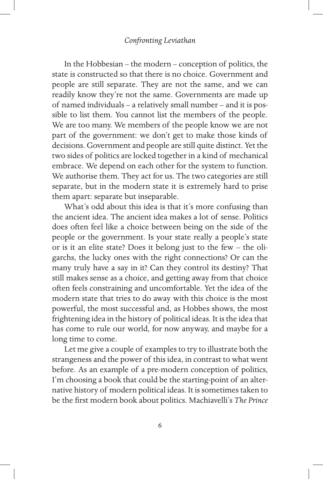In the Hobbesian – the modern – conception of politics, the state is constructed so that there is no choice. Government and people are still separate. They are not the same, and we can readily know they're not the same. Governments are made up of named individuals – a relatively small number – and it is possible to list them. You cannot list the members of the people. We are too many. We members of the people know we are not part of the government: we don't get to make those kinds of decisions. Government and people are still quite distinct. Yet the two sides of politics are locked together in a kind of mechanical embrace. We depend on each other for the system to function. We authorise them. They act for us. The two categories are still separate, but in the modern state it is extremely hard to prise them apart: separate but inseparable.

What's odd about this idea is that it's more confusing than the ancient idea. The ancient idea makes a lot of sense. Politics does often feel like a choice between being on the side of the people or the government. Is your state really a people's state or is it an elite state? Does it belong just to the few – the oligarchs, the lucky ones with the right connections? Or can the many truly have a say in it? Can they control its destiny? That still makes sense as a choice, and getting away from that choice often feels constraining and uncomfortable. Yet the idea of the modern state that tries to do away with this choice is the most powerful, the most successful and, as Hobbes shows, the most frightening idea in the history of political ideas. It is the idea that has come to rule our world, for now anyway, and maybe for a long time to come.

Let me give a couple of examples to try to illustrate both the strangeness and the power of this idea, in contrast to what went before. As an example of a pre-modern conception of politics, I'm choosing a book that could be the starting-point of an alternative history of modern political ideas. It is sometimes taken to be the first modern book about politics. Machiavelli's *The Prince*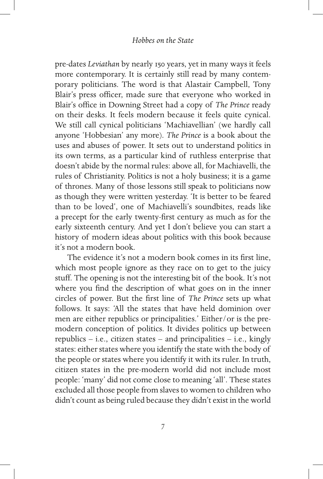pre-dates *Leviathan* by nearly 150 years, yet in many ways it feels more contemporary. It is certainly still read by many contemporary politicians. The word is that Alastair Campbell, Tony Blair's press officer, made sure that everyone who worked in Blair's office in Downing Street had a copy of *The Prince* ready on their desks. It feels modern because it feels quite cynical. We still call cynical politicians 'Machiavellian' (we hardly call anyone 'Hobbesian' any more). *The Prince* is a book about the uses and abuses of power. It sets out to understand politics in its own terms, as a particular kind of ruthless enterprise that doesn't abide by the normal rules: above all, for Machiavelli, the rules of Christianity. Politics is not a holy business; it is a game of thrones. Many of those lessons still speak to politicians now as though they were written yesterday. 'It is better to be feared than to be loved', one of Machiavelli's soundbites, reads like a precept for the early twenty-first century as much as for the early sixteenth century. And yet I don't believe you can start a history of modern ideas about politics with this book because it's not a modern book.

The evidence it's not a modern book comes in its first line, which most people ignore as they race on to get to the juicy stuff. The opening is not the interesting bit of the book. It's not where you find the description of what goes on in the inner circles of power. But the first line of *The Prince* sets up what follows. It says: 'All the states that have held dominion over men are either republics or principalities.' Either/or is the premodern conception of politics. It divides politics up between republics – i.e., citizen states – and principalities – i.e., kingly states: either states where you identify the state with the body of the people or states where you identify it with its ruler. In truth, citizen states in the pre-modern world did not include most people: 'many' did not come close to meaning 'all'. These states excluded all those people from slaves to women to children who didn't count as being ruled because they didn't exist in the world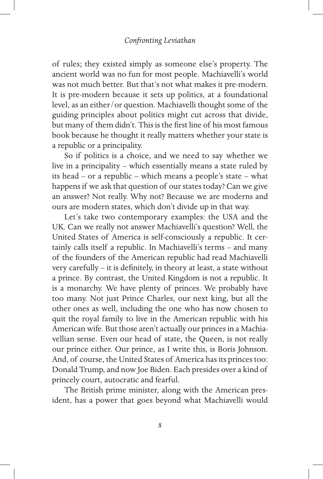of rules; they existed simply as someone else's property. The ancient world was no fun for most people. Machiavelli's world was not much better. But that's not what makes it pre-modern. It is pre-modern because it sets up politics, at a foundational level, as an either/or question. Machiavelli thought some of the guiding principles about politics might cut across that divide, but many of them didn't. This is the first line of his most famous book because he thought it really matters whether your state is a republic or a principality.

So if politics is a choice, and we need to say whether we live in a principality – which essentially means a state ruled by its head – or a republic – which means a people's state – what happens if we ask that question of our states today? Can we give an answer? Not really. Why not? Because we are moderns and ours are modern states, which don't divide up in that way.

Let's take two contemporary examples: the USA and the UK. Can we really not answer Machiavelli's question? Well, the United States of America is self-consciously a republic. It certainly calls itself a republic. In Machiavelli's terms – and many of the founders of the American republic had read Machiavelli very carefully – it is definitely, in theory at least, a state without a prince. By contrast, the United Kingdom is not a republic. It is a monarchy. We have plenty of princes. We probably have too many. Not just Prince Charles, our next king, but all the other ones as well, including the one who has now chosen to quit the royal family to live in the American republic with his American wife. But those aren't actually our princes in a Machiavellian sense. Even our head of state, the Queen, is not really our prince either. Our prince, as I write this, is Boris Johnson. And, of course, the United States of America has its princes too: Donald Trump, and now Joe Biden. Each presides over a kind of princely court, autocratic and fearful.

The British prime minister, along with the American president, has a power that goes beyond what Machiavelli would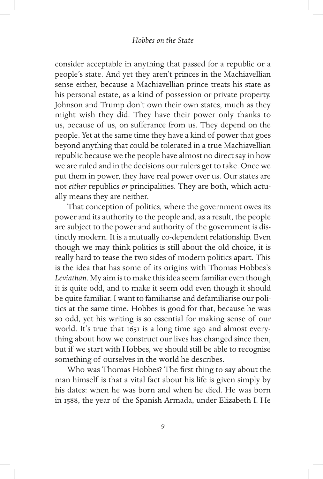consider acceptable in anything that passed for a republic or a people's state. And yet they aren't princes in the Machiavellian sense either, because a Machiavellian prince treats his state as his personal estate, as a kind of possession or private property. Johnson and Trump don't own their own states, much as they might wish they did. They have their power only thanks to us, because of us, on sufferance from us. They depend on the people. Yet at the same time they have a kind of power that goes beyond anything that could be tolerated in a true Machiavellian republic because we the people have almost no direct say in how we are ruled and in the decisions our rulers get to take. Once we put them in power, they have real power over us. Our states are not *either* republics *or* principalities. They are both, which actually means they are neither.

That conception of politics, where the government owes its power and its authority to the people and, as a result, the people are subject to the power and authority of the government is distinctly modern. It is a mutually co-dependent relationship. Even though we may think politics is still about the old choice, it is really hard to tease the two sides of modern politics apart. This is the idea that has some of its origins with Thomas Hobbes's *Leviathan*. My aim is to make this idea seem familiar even though it is quite odd, and to make it seem odd even though it should be quite familiar. I want to familiarise and defamiliarise our politics at the same time. Hobbes is good for that, because he was so odd, yet his writing is so essential for making sense of our world. It's true that 1651 is a long time ago and almost everything about how we construct our lives has changed since then, but if we start with Hobbes, we should still be able to recognise something of ourselves in the world he describes.

Who was Thomas Hobbes? The first thing to say about the man himself is that a vital fact about his life is given simply by his dates: when he was born and when he died. He was born in 1588, the year of the Spanish Armada, under Elizabeth I. He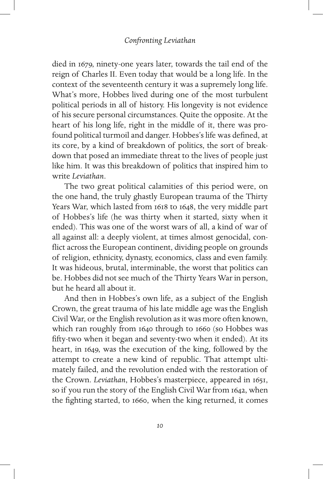died in 1679, ninety-one years later, towards the tail end of the reign of Charles II. Even today that would be a long life. In the context of the seventeenth century it was a supremely long life. What's more, Hobbes lived during one of the most turbulent political periods in all of history. His longevity is not evidence of his secure personal circumstances. Quite the opposite. At the heart of his long life, right in the middle of it, there was profound political turmoil and danger. Hobbes's life was defined, at its core, by a kind of breakdown of politics, the sort of breakdown that posed an immediate threat to the lives of people just like him. It was this breakdown of politics that inspired him to write *Leviathan*.

The two great political calamities of this period were, on the one hand, the truly ghastly European trauma of the Thirty Years War, which lasted from 1618 to 1648, the very middle part of Hobbes's life (he was thirty when it started, sixty when it ended). This was one of the worst wars of all, a kind of war of all against all: a deeply violent, at times almost genocidal, conflict across the European continent, dividing people on grounds of religion, ethnicity, dynasty, economics, class and even family. It was hideous, brutal, interminable, the worst that politics can be. Hobbes did not see much of the Thirty Years War in person, but he heard all about it.

And then in Hobbes's own life, as a subject of the English Crown, the great trauma of his late middle age was the English Civil War, or the English revolution as it was more often known, which ran roughly from 1640 through to 1660 (so Hobbes was fifty-two when it began and seventy-two when it ended). At its heart, in 1649, was the execution of the king, followed by the attempt to create a new kind of republic. That attempt ultimately failed, and the revolution ended with the restoration of the Crown. *Leviathan*, Hobbes's masterpiece, appeared in 1651, so if you run the story of the English Civil War from 1642, when the fighting started, to 1660, when the king returned, it comes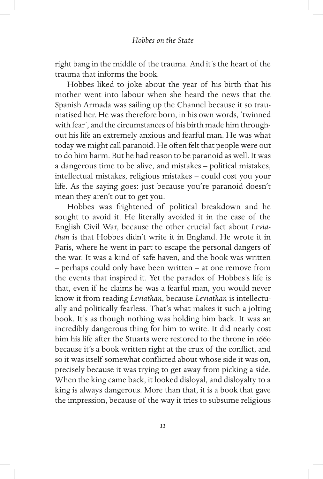right bang in the middle of the trauma. And it's the heart of the trauma that informs the book.

Hobbes liked to joke about the year of his birth that his mother went into labour when she heard the news that the Spanish Armada was sailing up the Channel because it so traumatised her. He was therefore born, in his own words, 'twinned with fear', and the circumstances of his birth made him throughout his life an extremely anxious and fearful man. He was what today we might call paranoid. He often felt that people were out to do him harm. But he had reason to be paranoid as well. It was a dangerous time to be alive, and mistakes – political mistakes, intellectual mistakes, religious mistakes – could cost you your life. As the saying goes: just because you're paranoid doesn't mean they aren't out to get you.

Hobbes was frightened of political breakdown and he sought to avoid it. He literally avoided it in the case of the English Civil War, because the other crucial fact about *Leviathan* is that Hobbes didn't write it in England. He wrote it in Paris, where he went in part to escape the personal dangers of the war. It was a kind of safe haven, and the book was written – perhaps could only have been written – at one remove from the events that inspired it. Yet the paradox of Hobbes's life is that, even if he claims he was a fearful man, you would never know it from reading *Leviathan*, because *Leviathan* is intellectually and politically fearless. That's what makes it such a jolting book. It's as though nothing was holding him back. It was an incredibly dangerous thing for him to write. It did nearly cost him his life after the Stuarts were restored to the throne in 1660 because it's a book written right at the crux of the conflict, and so it was itself somewhat conflicted about whose side it was on, precisely because it was trying to get away from picking a side. When the king came back, it looked disloyal, and disloyalty to a king is always dangerous. More than that, it is a book that gave the impression, because of the way it tries to subsume religious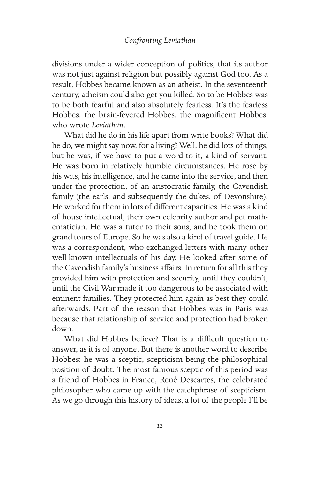divisions under a wider conception of politics, that its author was not just against religion but possibly against God too. As a result, Hobbes became known as an atheist. In the seventeenth century, atheism could also get you killed. So to be Hobbes was to be both fearful and also absolutely fearless. It's the fearless Hobbes, the brain-fevered Hobbes, the magnificent Hobbes, who wrote *Leviathan*.

What did he do in his life apart from write books? What did he do, we might say now, for a living? Well, he did lots of things, but he was, if we have to put a word to it, a kind of servant. He was born in relatively humble circumstances. He rose by his wits, his intelligence, and he came into the service, and then under the protection, of an aristocratic family, the Cavendish family (the earls, and subsequently the dukes, of Devonshire). He worked for them in lots of different capacities. He was a kind of house intellectual, their own celebrity author and pet mathematician. He was a tutor to their sons, and he took them on grand tours of Europe. So he was also a kind of travel guide. He was a correspondent, who exchanged letters with many other well-known intellectuals of his day. He looked after some of the Cavendish family's business affairs. In return for all this they provided him with protection and security, until they couldn't, until the Civil War made it too dangerous to be associated with eminent families. They protected him again as best they could afterwards. Part of the reason that Hobbes was in Paris was because that relationship of service and protection had broken down.

What did Hobbes believe? That is a difficult question to answer, as it is of anyone. But there is another word to describe Hobbes: he was a sceptic, scepticism being the philosophical position of doubt. The most famous sceptic of this period was a friend of Hobbes in France, René Descartes, the celebrated philosopher who came up with the catchphrase of scepticism. As we go through this history of ideas, a lot of the people I'll be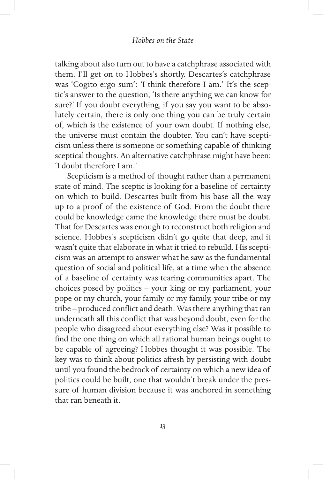talking about also turn out to have a catchphrase associated with them. I'll get on to Hobbes's shortly. Descartes's catchphrase was 'Cogito ergo sum': 'I think therefore I am.' It's the sceptic's answer to the question, 'Is there anything we can know for sure?' If you doubt everything, if you say you want to be absolutely certain, there is only one thing you can be truly certain of, which is the existence of your own doubt. If nothing else, the universe must contain the doubter. You can't have scepticism unless there is someone or something capable of thinking sceptical thoughts. An alternative catchphrase might have been: 'I doubt therefore I am.'

Scepticism is a method of thought rather than a permanent state of mind. The sceptic is looking for a baseline of certainty on which to build. Descartes built from his base all the way up to a proof of the existence of God. From the doubt there could be knowledge came the knowledge there must be doubt. That for Descartes was enough to reconstruct both religion and science. Hobbes's scepticism didn't go quite that deep, and it wasn't quite that elaborate in what it tried to rebuild. His scepticism was an attempt to answer what he saw as the fundamental question of social and political life, at a time when the absence of a baseline of certainty was tearing communities apart. The choices posed by politics – your king or my parliament, your pope or my church, your family or my family, your tribe or my tribe – produced conflict and death. Was there anything that ran underneath all this conflict that was beyond doubt, even for the people who disagreed about everything else? Was it possible to find the one thing on which all rational human beings ought to be capable of agreeing? Hobbes thought it was possible. The key was to think about politics afresh by persisting with doubt until you found the bedrock of certainty on which a new idea of politics could be built, one that wouldn't break under the pressure of human division because it was anchored in something that ran beneath it.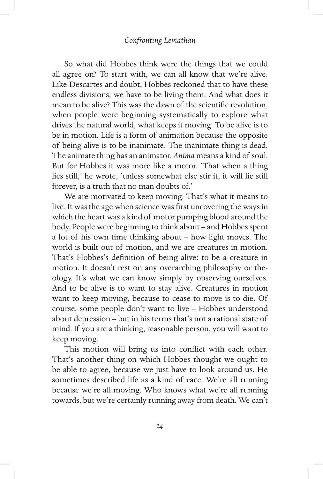## *Confronting Leviathan*

So what did Hobbes think were the things that we could all agree on? To start with, we can all know that we're alive. Like Descartes and doubt, Hobbes reckoned that to have these endless divisions, we have to be living them. And what does it mean to be alive? This was the dawn of the scientific revolution, when people were beginning systematically to explore what drives the natural world, what keeps it moving. To be alive is to be in motion. Life is a form of animation because the opposite of being alive is to be inanimate. The inanimate thing is dead. The animate thing has an animator. *Anima* means a kind of soul. But for Hobbes it was more like a motor. 'That when a thing lies still,' he wrote, 'unless somewhat else stir it, it will lie still forever, is a truth that no man doubts of.'

We are motivated to keep moving. That's what it means to live. It was the age when science was first uncovering the ways in which the heart was a kind of motor pumping blood around the body. People were beginning to think about – and Hobbes spent a lot of his own time thinking about – how light moves. The world is built out of motion, and we are creatures in motion. That's Hobbes's definition of being alive: to be a creature in motion. It doesn't rest on any overarching philosophy or theology. It's what we can know simply by observing ourselves. And to be alive is to want to stay alive. Creatures in motion want to keep moving, because to cease to move is to die. Of course, some people don't want to live – Hobbes understood about depression – but in his terms that's not a rational state of mind. If you are a thinking, reasonable person, you will want to keep moving.

This motion will bring us into conflict with each other. That's another thing on which Hobbes thought we ought to be able to agree, because we just have to look around us. He sometimes described life as a kind of race. We're all running because we're all moving. Who knows what we're all running towards, but we're certainly running away from death. We can't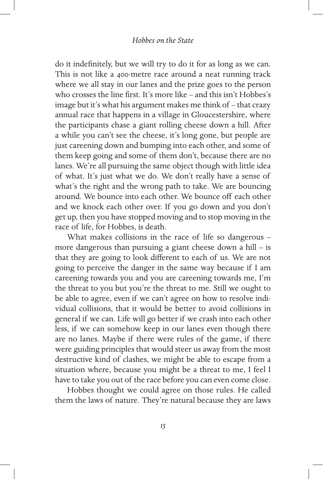do it indefinitely, but we will try to do it for as long as we can. This is not like a 400-metre race around a neat running track where we all stay in our lanes and the prize goes to the person who crosses the line first. It's more like – and this isn't Hobbes's image but it's what his argument makes me think of – that crazy annual race that happens in a village in Gloucestershire, where the participants chase a giant rolling cheese down a hill. After a while you can't see the cheese, it's long gone, but people are just careening down and bumping into each other, and some of them keep going and some of them don't, because there are no lanes. We're all pursuing the same object though with little idea of what. It's just what we do. We don't really have a sense of what's the right and the wrong path to take. We are bouncing around. We bounce into each other. We bounce off each other and we knock each other over. If you go down and you don't get up, then you have stopped moving and to stop moving in the race of life, for Hobbes, is death.

What makes collisions in the race of life so dangerous – more dangerous than pursuing a giant cheese down a hill – is that they are going to look different to each of us. We are not going to perceive the danger in the same way because if I am careening towards you and you are careening towards me, I'm the threat to you but you're the threat to me. Still we ought to be able to agree, even if we can't agree on how to resolve individual collisions, that it would be better to avoid collisions in general if we can. Life will go better if we crash into each other less, if we can somehow keep in our lanes even though there are no lanes. Maybe if there were rules of the game, if there were guiding principles that would steer us away from the most destructive kind of clashes, we might be able to escape from a situation where, because you might be a threat to me, I feel I have to take you out of the race before you can even come close.

Hobbes thought we could agree on those rules. He called them the laws of nature. They're natural because they are laws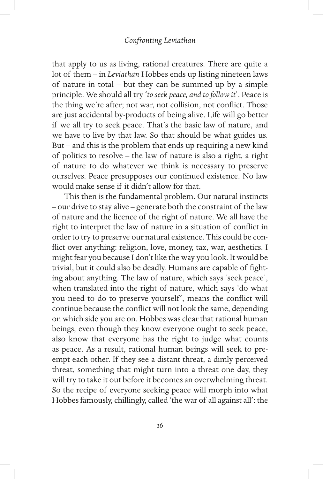that apply to us as living, rational creatures. There are quite a lot of them – in *Leviathan* Hobbes ends up listing nineteen laws of nature in total – but they can be summed up by a simple principle. We should all try '*to seek peace, and to follow it*'. Peace is the thing we're after; not war, not collision, not conflict. Those are just accidental by-products of being alive. Life will go better if we all try to seek peace. That's the basic law of nature, and we have to live by that law. So that should be what guides us. But – and this is the problem that ends up requiring a new kind of politics to resolve – the law of nature is also a right, a right of nature to do whatever we think is necessary to preserve ourselves. Peace presupposes our continued existence. No law would make sense if it didn't allow for that.

This then is the fundamental problem. Our natural instincts – our drive to stay alive – generate both the constraint of the law of nature and the licence of the right of nature. We all have the right to interpret the law of nature in a situation of conflict in order to try to preserve our natural existence. This could be conflict over anything: religion, love, money, tax, war, aesthetics. I might fear you because I don't like the way you look. It would be trivial, but it could also be deadly. Humans are capable of fighting about anything. The law of nature, which says 'seek peace', when translated into the right of nature, which says 'do what you need to do to preserve yourself', means the conflict will continue because the conflict will not look the same, depending on which side you are on. Hobbes was clear that rational human beings, even though they know everyone ought to seek peace, also know that everyone has the right to judge what counts as peace. As a result, rational human beings will seek to preempt each other. If they see a distant threat, a dimly perceived threat, something that might turn into a threat one day, they will try to take it out before it becomes an overwhelming threat. So the recipe of everyone seeking peace will morph into what Hobbes famously, chillingly, called 'the war of all against all': the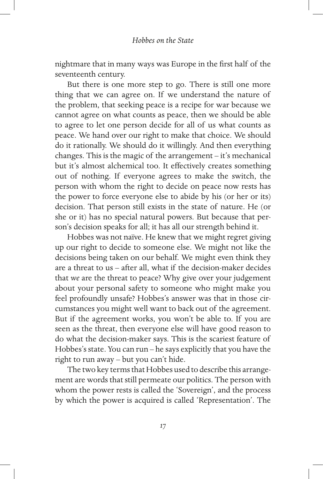nightmare that in many ways was Europe in the first half of the seventeenth century.

But there is one more step to go. There is still one more thing that we can agree on. If we understand the nature of the problem, that seeking peace is a recipe for war because we cannot agree on what counts as peace, then we should be able to agree to let one person decide for all of us what counts as peace. We hand over our right to make that choice. We should do it rationally. We should do it willingly. And then everything changes. This is the magic of the arrangement – it's mechanical but it's almost alchemical too. It effectively creates something out of nothing. If everyone agrees to make the switch, the person with whom the right to decide on peace now rests has the power to force everyone else to abide by his (or her or its) decision. That person still exists in the state of nature. He (or she or it) has no special natural powers. But because that person's decision speaks for all; it has all our strength behind it.

Hobbes was not naïve. He knew that we might regret giving up our right to decide to someone else. We might not like the decisions being taken on our behalf. We might even think they are a threat to us – after all, what if the decision-maker decides that *we* are the threat to peace? Why give over your judgement about your personal safety to someone who might make you feel profoundly unsafe? Hobbes's answer was that in those circumstances you might well want to back out of the agreement. But if the agreement works, you won't be able to. If you are seen as the threat, then everyone else will have good reason to do what the decision-maker says. This is the scariest feature of Hobbes's state. You can run – he says explicitly that you have the right to run away – but you can't hide.

The two key terms that Hobbes used to describe this arrangement are words that still permeate our politics. The person with whom the power rests is called the 'Sovereign', and the process by which the power is acquired is called 'Representation'. The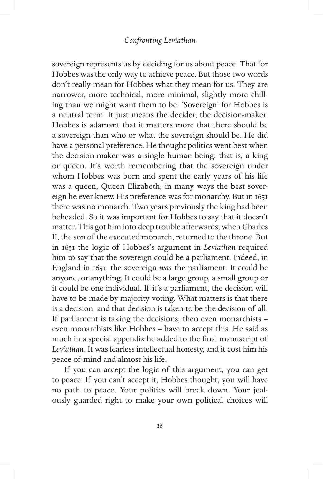sovereign represents us by deciding for us about peace. That for Hobbes was the only way to achieve peace. But those two words don't really mean for Hobbes what they mean for us. They are narrower, more technical, more minimal, slightly more chilling than we might want them to be. 'Sovereign' for Hobbes is a neutral term. It just means the decider, the decision-maker. Hobbes is adamant that it matters more that there should be a sovereign than who or what the sovereign should be. He did have a personal preference. He thought politics went best when the decision-maker was a single human being: that is, a king or queen. It's worth remembering that the sovereign under whom Hobbes was born and spent the early years of his life was a queen, Queen Elizabeth, in many ways the best sovereign he ever knew. His preference was for monarchy. But in 1651 there was no monarch. Two years previously the king had been beheaded. So it was important for Hobbes to say that it doesn't matter. This got him into deep trouble afterwards, when Charles II, the son of the executed monarch, returned to the throne. But in 1651 the logic of Hobbes's argument in *Leviathan* required him to say that the sovereign could be a parliament. Indeed, in England in 1651, the sovereign *was* the parliament. It could be anyone, or anything. It could be a large group, a small group or it could be one individual. If it's a parliament, the decision will have to be made by majority voting. What matters is that there is a decision, and that decision is taken to be the decision of all. If parliament is taking the decisions, then even monarchists – even monarchists like Hobbes – have to accept this. He said as much in a special appendix he added to the final manuscript of *Leviathan*. It was fearless intellectual honesty, and it cost him his peace of mind and almost his life.

If you can accept the logic of this argument, you can get to peace. If you can't accept it, Hobbes thought, you will have no path to peace. Your politics will break down. Your jealously guarded right to make your own political choices will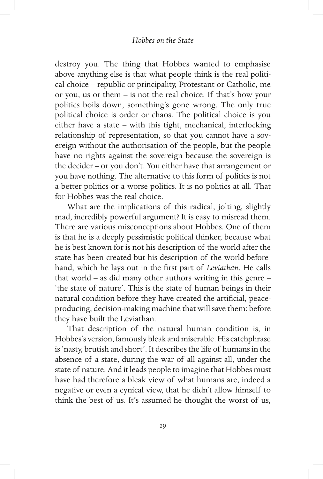destroy you. The thing that Hobbes wanted to emphasise above anything else is that what people think is the real political choice – republic or principality, Protestant or Catholic, me or you, us or them – is not the real choice. If that's how your politics boils down, something's gone wrong. The only true political choice is order or chaos. The political choice is you either have a state – with this tight, mechanical, interlocking relationship of representation, so that you cannot have a sovereign without the authorisation of the people, but the people have no rights against the sovereign because the sovereign is the decider – or you don't. You either have that arrangement or you have nothing. The alternative to this form of politics is not a better politics or a worse politics. It is no politics at all. That for Hobbes was the real choice.

What are the implications of this radical, jolting, slightly mad, incredibly powerful argument? It is easy to misread them. There are various misconceptions about Hobbes. One of them is that he is a deeply pessimistic political thinker, because what he is best known for is not his description of the world after the state has been created but his description of the world beforehand, which he lays out in the first part of *Leviathan*. He calls that world – as did many other authors writing in this genre – 'the state of nature'. This is the state of human beings in their natural condition before they have created the artificial, peaceproducing, decision-making machine that will save them: before they have built the Leviathan.

That description of the natural human condition is, in Hobbes's version, famously bleak and miserable. His catchphrase is 'nasty, brutish and short'. It describes the life of humans in the absence of a state, during the war of all against all, under the state of nature. And it leads people to imagine that Hobbes must have had therefore a bleak view of what humans are, indeed a negative or even a cynical view, that he didn't allow himself to think the best of us. It's assumed he thought the worst of us,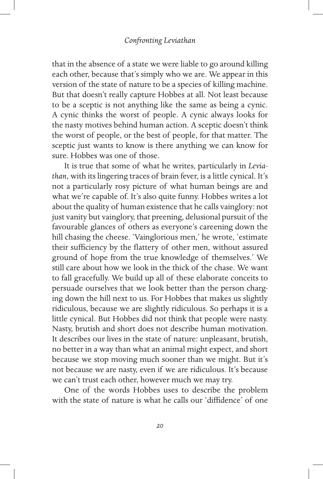that in the absence of a state we were liable to go around killing each other, because that's simply who we are. We appear in this version of the state of nature to be a species of killing machine. But that doesn't really capture Hobbes at all. Not least because to be a sceptic is not anything like the same as being a cynic. A cynic thinks the worst of people. A cynic always looks for the nasty motives behind human action. A sceptic doesn't think the worst of people, or the best of people, for that matter. The sceptic just wants to know is there anything we can know for sure. Hobbes was one of those.

It is true that some of what he writes, particularly in *Leviathan*, with its lingering traces of brain fever, is a little cynical. It's not a particularly rosy picture of what human beings are and what we're capable of. It's also quite funny. Hobbes writes a lot about the quality of human existence that he calls vainglory: not just vanity but vainglory, that preening, delusional pursuit of the favourable glances of others as everyone's careening down the hill chasing the cheese. 'Vainglorious men,' he wrote, 'estimate their sufficiency by the flattery of other men, without assured ground of hope from the true knowledge of themselves.' We still care about how we look in the thick of the chase. We want to fall gracefully. We build up all of these elaborate conceits to persuade ourselves that we look better than the person charging down the hill next to us. For Hobbes that makes us slightly ridiculous, because we are slightly ridiculous. So perhaps it is a little cynical. But Hobbes did not think that people were nasty. Nasty, brutish and short does not describe human motivation. It describes our lives in the state of nature: unpleasant, brutish, no better in a way than what an animal might expect, and short because we stop moving much sooner than we might. But it's not because *we* are nasty, even if we are ridiculous. It's because we can't trust each other, however much we may try.

One of the words Hobbes uses to describe the problem with the state of nature is what he calls our 'diffidence' of one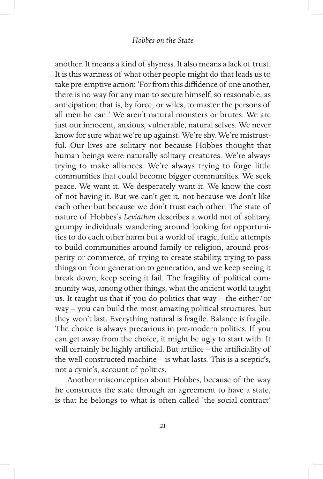another. It means a kind of shyness. It also means a lack of trust. It is this wariness of what other people might do that leads us to take pre-emptive action: 'For from this diffidence of one another, there is no way for any man to secure himself, so reasonable, as anticipation; that is, by force, or wiles, to master the persons of all men he can.' We aren't natural monsters or brutes. We are just our innocent, anxious, vulnerable, natural selves. We never know for sure what we're up against. We're shy. We're mistrustful. Our lives are solitary not because Hobbes thought that human beings were naturally solitary creatures. We're always trying to make alliances. We're always trying to forge little communities that could become bigger communities. We seek peace. We want it. We desperately want it. We know the cost of not having it. But we can't get it, not because we don't like each other but because we don't trust each other. The state of nature of Hobbes's *Leviathan* describes a world not of solitary, grumpy individuals wandering around looking for opportunities to do each other harm but a world of tragic, futile attempts to build communities around family or religion, around prosperity or commerce, of trying to create stability, trying to pass things on from generation to generation, and we keep seeing it break down, keep seeing it fail. The fragility of political community was, among other things, what the ancient world taught us. It taught us that if you do politics that way – the either/or way – you can build the most amazing political structures, but they won't last. Everything natural is fragile. Balance is fragile. The choice is always precarious in pre-modern politics. If you can get away from the choice, it might be ugly to start with. It will certainly be highly artificial. But artifice – the artificiality of the well-constructed machine – is what lasts. This is a sceptic's, not a cynic's, account of politics.

Another misconception about Hobbes, because of the way he constructs the state through an agreement to have a state, is that he belongs to what is often called 'the social contract'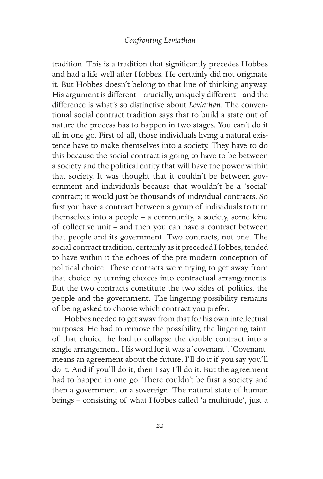tradition. This is a tradition that significantly precedes Hobbes and had a life well after Hobbes. He certainly did not originate it. But Hobbes doesn't belong to that line of thinking anyway. His argument is different – crucially, uniquely different – and the difference is what's so distinctive about *Leviathan*. The conventional social contract tradition says that to build a state out of nature the process has to happen in two stages. You can't do it all in one go. First of all, those individuals living a natural existence have to make themselves into a society. They have to do this because the social contract is going to have to be between a society and the political entity that will have the power within that society. It was thought that it couldn't be between government and individuals because that wouldn't be a 'social' contract; it would just be thousands of individual contracts. So first you have a contract between a group of individuals to turn themselves into a people – a community, a society, some kind of collective unit – and then you can have a contract between that people and its government. Two contracts, not one. The social contract tradition, certainly as it preceded Hobbes, tended to have within it the echoes of the pre-modern conception of political choice. These contracts were trying to get away from that choice by turning choices into contractual arrangements. But the two contracts constitute the two sides of politics, the people and the government. The lingering possibility remains of being asked to choose which contract you prefer.

Hobbes needed to get away from that for his own intellectual purposes. He had to remove the possibility, the lingering taint, of that choice: he had to collapse the double contract into a single arrangement. His word for it was a 'covenant'. 'Covenant' means an agreement about the future. I'll do it if you say you'll do it. And if you'll do it, then I say I'll do it. But the agreement had to happen in one go. There couldn't be first a society and then a government or a sovereign. The natural state of human beings – consisting of what Hobbes called 'a multitude', just a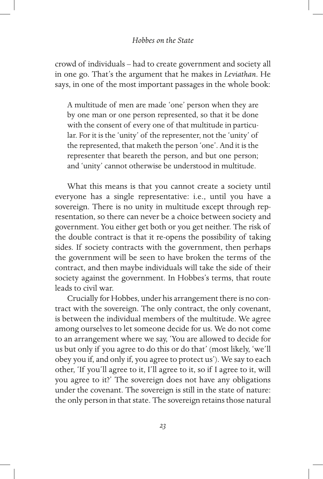crowd of individuals – had to create government and society all in one go. That's the argument that he makes in *Leviathan*. He says, in one of the most important passages in the whole book:

A multitude of men are made 'one' person when they are by one man or one person represented, so that it be done with the consent of every one of that multitude in particular. For it is the 'unity' of the representer, not the 'unity' of the represented, that maketh the person 'one'. And it is the representer that beareth the person, and but one person; and 'unity' cannot otherwise be understood in multitude.

What this means is that you cannot create a society until everyone has a single representative: i.e., until you have a sovereign. There is no unity in multitude except through representation, so there can never be a choice between society and government. You either get both or you get neither. The risk of the double contract is that it re-opens the possibility of taking sides. If society contracts with the government, then perhaps the government will be seen to have broken the terms of the contract, and then maybe individuals will take the side of their society against the government. In Hobbes's terms, that route leads to civil war.

Crucially for Hobbes, under his arrangement there is no contract with the sovereign. The only contract, the only covenant, is between the individual members of the multitude. We agree among ourselves to let someone decide for us. We do not come to an arrangement where we say, 'You are allowed to decide for us but only if you agree to do this or do that' (most likely, 'we'll obey you if, and only if, you agree to protect us'). We say to each other, 'If you'll agree to it, I'll agree to it, so if I agree to it, will you agree to it?' The sovereign does not have any obligations under the covenant. The sovereign is still in the state of nature: the only person in that state. The sovereign retains those natural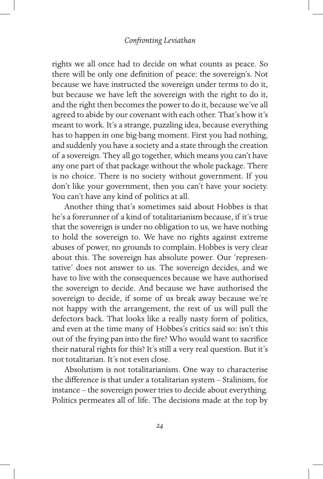rights we all once had to decide on what counts as peace. So there will be only one definition of peace: the sovereign's. Not because we have instructed the sovereign under terms to do it, but because we have left the sovereign with the right to do it, and the right then becomes the power to do it, because we've all agreed to abide by our covenant with each other. That's how it's meant to work. It's a strange, puzzling idea, because everything has to happen in one big-bang moment. First you had nothing, and suddenly you have a society and a state through the creation of a sovereign. They all go together, which means you can't have any one part of that package without the whole package. There is no choice. There is no society without government. If you don't like your government, then you can't have your society. You can't have any kind of politics at all.

Another thing that's sometimes said about Hobbes is that he's a forerunner of a kind of totalitarianism because, if it's true that the sovereign is under no obligation to us, we have nothing to hold the sovereign to. We have no rights against extreme abuses of power, no grounds to complain. Hobbes is very clear about this. The sovereign has absolute power. Our 'representative' does not answer to us. The sovereign decides, and we have to live with the consequences because we have authorised the sovereign to decide. And because we have authorised the sovereign to decide, if some of us break away because we're not happy with the arrangement, the rest of us will pull the defectors back. That looks like a really nasty form of politics, and even at the time many of Hobbes's critics said so: isn't this out of the frying pan into the fire? Who would want to sacrifice their natural rights for this? It's still a very real question. But it's not totalitarian. It's not even close.

Absolutism is not totalitarianism. One way to characterise the difference is that under a totalitarian system – Stalinism, for instance – the sovereign power tries to decide about everything. Politics permeates all of life. The decisions made at the top by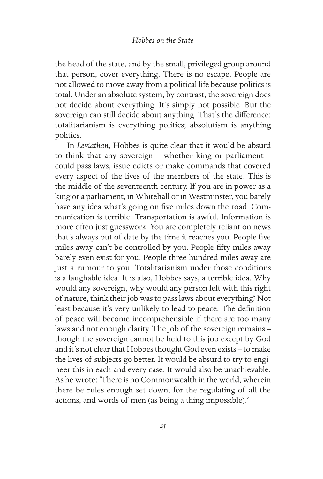the head of the state, and by the small, privileged group around that person, cover everything. There is no escape. People are not allowed to move away from a political life because politics is total. Under an absolute system, by contrast, the sovereign does not decide about everything. It's simply not possible. But the sovereign can still decide about anything. That's the difference: totalitarianism is everything politics; absolutism is anything politics.

In *Leviathan*, Hobbes is quite clear that it would be absurd to think that any sovereign – whether king or parliament – could pass laws, issue edicts or make commands that covered every aspect of the lives of the members of the state. This is the middle of the seventeenth century. If you are in power as a king or a parliament, in Whitehall or in Westminster, you barely have any idea what's going on five miles down the road. Communication is terrible. Transportation is awful. Information is more often just guesswork. You are completely reliant on news that's always out of date by the time it reaches you. People five miles away can't be controlled by you. People fifty miles away barely even exist for you. People three hundred miles away are just a rumour to you. Totalitarianism under those conditions is a laughable idea. It is also, Hobbes says, a terrible idea. Why would any sovereign, why would any person left with this right of nature, think their job was to pass laws about everything? Not least because it's very unlikely to lead to peace. The definition of peace will become incomprehensible if there are too many laws and not enough clarity. The job of the sovereign remains – though the sovereign cannot be held to this job except by God and it's not clear that Hobbes thought God even exists – to make the lives of subjects go better. It would be absurd to try to engineer this in each and every case. It would also be unachievable. As he wrote: 'There is no Commonwealth in the world, wherein there be rules enough set down, for the regulating of all the actions, and words of men (as being a thing impossible).'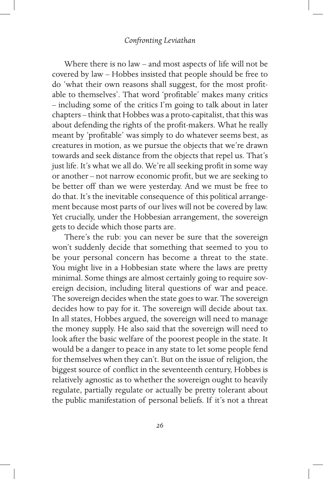## *Confronting Leviathan*

Where there is no law – and most aspects of life will not be covered by law – Hobbes insisted that people should be free to do 'what their own reasons shall suggest, for the most profitable to themselves'. That word 'profitable' makes many critics – including some of the critics I'm going to talk about in later chapters – think that Hobbes was a proto-capitalist, that this was about defending the rights of the profit-makers. What he really meant by 'profitable' was simply to do whatever seems best, as creatures in motion, as we pursue the objects that we're drawn towards and seek distance from the objects that repel us. That's just life. It's what we all do. We're all seeking profit in some way or another – not narrow economic profit, but we are seeking to be better off than we were yesterday. And we must be free to do that. It's the inevitable consequence of this political arrangement because most parts of our lives will not be covered by law. Yet crucially, under the Hobbesian arrangement, the sovereign gets to decide which those parts are.

There's the rub: you can never be sure that the sovereign won't suddenly decide that something that seemed to you to be your personal concern has become a threat to the state. You might live in a Hobbesian state where the laws are pretty minimal. Some things are almost certainly going to require sovereign decision, including literal questions of war and peace. The sovereign decides when the state goes to war. The sovereign decides how to pay for it. The sovereign will decide about tax. In all states, Hobbes argued, the sovereign will need to manage the money supply. He also said that the sovereign will need to look after the basic welfare of the poorest people in the state. It would be a danger to peace in any state to let some people fend for themselves when they can't. But on the issue of religion, the biggest source of conflict in the seventeenth century, Hobbes is relatively agnostic as to whether the sovereign ought to heavily regulate, partially regulate or actually be pretty tolerant about the public manifestation of personal beliefs. If it's not a threat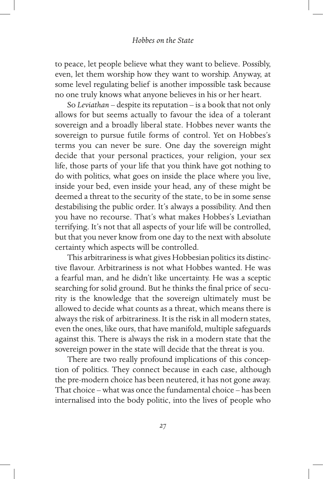to peace, let people believe what they want to believe. Possibly, even, let them worship how they want to worship. Anyway, at some level regulating belief is another impossible task because no one truly knows what anyone believes in his or her heart.

So *Leviathan* – despite its reputation – is a book that not only allows for but seems actually to favour the idea of a tolerant sovereign and a broadly liberal state. Hobbes never wants the sovereign to pursue futile forms of control. Yet on Hobbes's terms you can never be sure. One day the sovereign might decide that your personal practices, your religion, your sex life, those parts of your life that you think have got nothing to do with politics, what goes on inside the place where you live, inside your bed, even inside your head, any of these might be deemed a threat to the security of the state, to be in some sense destabilising the public order. It's always a possibility. And then you have no recourse. That's what makes Hobbes's Leviathan terrifying. It's not that all aspects of your life will be controlled, but that you never know from one day to the next with absolute certainty which aspects will be controlled.

This arbitrariness is what gives Hobbesian politics its distinctive flavour. Arbitrariness is not what Hobbes wanted. He was a fearful man, and he didn't like uncertainty. He was a sceptic searching for solid ground. But he thinks the final price of security is the knowledge that the sovereign ultimately must be allowed to decide what counts as a threat, which means there is always the risk of arbitrariness. It is the risk in all modern states, even the ones, like ours, that have manifold, multiple safeguards against this. There is always the risk in a modern state that the sovereign power in the state will decide that the threat is you.

There are two really profound implications of this conception of politics. They connect because in each case, although the pre-modern choice has been neutered, it has not gone away. That choice – what was once the fundamental choice – has been internalised into the body politic, into the lives of people who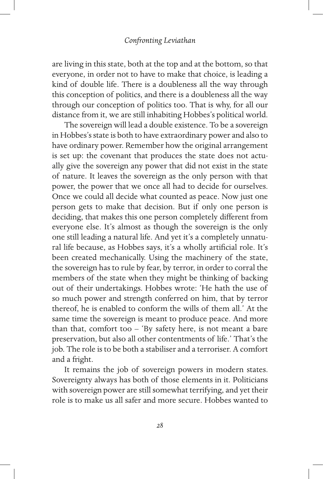### *Confronting Leviathan*

are living in this state, both at the top and at the bottom, so that everyone, in order not to have to make that choice, is leading a kind of double life. There is a doubleness all the way through this conception of politics, and there is a doubleness all the way through our conception of politics too. That is why, for all our distance from it, we are still inhabiting Hobbes's political world.

The sovereign will lead a double existence. To be a sovereign in Hobbes's state is both to have extraordinary power and also to have ordinary power. Remember how the original arrangement is set up: the covenant that produces the state does not actually give the sovereign any power that did not exist in the state of nature. It leaves the sovereign as the only person with that power, the power that we once all had to decide for ourselves. Once we could all decide what counted as peace. Now just one person gets to make that decision. But if only one person is deciding, that makes this one person completely different from everyone else. It's almost as though the sovereign is the only one still leading a natural life. And yet it's a completely unnatural life because, as Hobbes says, it's a wholly artificial role. It's been created mechanically. Using the machinery of the state, the sovereign has to rule by fear, by terror, in order to corral the members of the state when they might be thinking of backing out of their undertakings. Hobbes wrote: 'He hath the use of so much power and strength conferred on him, that by terror thereof, he is enabled to conform the wills of them all.' At the same time the sovereign is meant to produce peace. And more than that, comfort too – 'By safety here, is not meant a bare preservation, but also all other contentments of life.' That's the job. The role is to be both a stabiliser and a terroriser. A comfort and a fright.

It remains the job of sovereign powers in modern states. Sovereignty always has both of those elements in it. Politicians with sovereign power are still somewhat terrifying, and yet their role is to make us all safer and more secure. Hobbes wanted to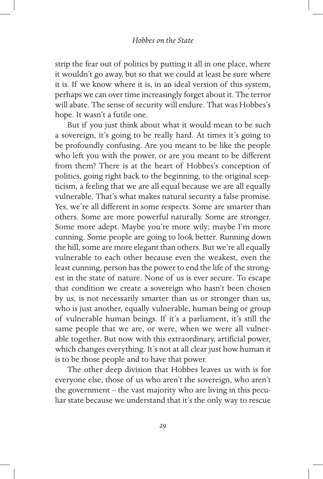strip the fear out of politics by putting it all in one place, where it wouldn't go away, but so that we could at least be sure where it is. If we know where it is, in an ideal version of this system, perhaps we can over time increasingly forget about it. The terror will abate. The sense of security will endure. That was Hobbes's hope. It wasn't a futile one.

But if you just think about what it would mean to be such a sovereign, it's going to be really hard. At times it's going to be profoundly confusing. Are you meant to be like the people who left you with the power, or are you meant to be different from them? There is at the heart of Hobbes's conception of politics, going right back to the beginning, to the original scepticism, a feeling that we are all equal because we are all equally vulnerable. That's what makes natural security a false promise. Yes, we're all different in some respects. Some are smarter than others. Some are more powerful naturally. Some are stronger. Some more adept. Maybe you're more wily; maybe I'm more cunning. Some people are going to look better. Running down the hill, some are more elegant than others. But we're all equally vulnerable to each other because even the weakest, even the least cunning, person has the power to end the life of the strongest in the state of nature. None of us is ever secure. To escape that condition we create a sovereign who hasn't been chosen by us, is not necessarily smarter than us or stronger than us, who is just another, equally vulnerable, human being or group of vulnerable human beings. If it's a parliament, it's still the same people that we are, or were, when we were all vulnerable together. But now with this extraordinary, artificial power, which changes everything. It's not at all clear just how human it is to be those people and to have that power.

The other deep division that Hobbes leaves us with is for everyone else, those of us who aren't the sovereign, who aren't the government – the vast majority who are living in this peculiar state because we understand that it's the only way to rescue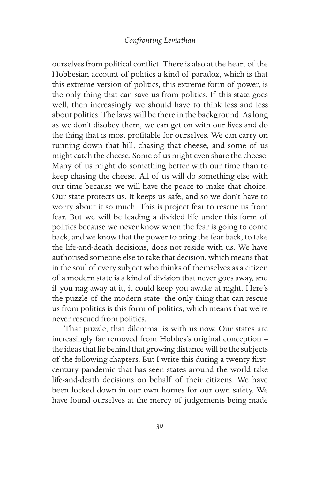ourselves from political conflict. There is also at the heart of the Hobbesian account of politics a kind of paradox, which is that this extreme version of politics, this extreme form of power, is the only thing that can save us from politics. If this state goes well, then increasingly we should have to think less and less about politics. The laws will be there in the background. As long as we don't disobey them, we can get on with our lives and do the thing that is most profitable for ourselves. We can carry on running down that hill, chasing that cheese, and some of us might catch the cheese. Some of us might even share the cheese. Many of us might do something better with our time than to keep chasing the cheese. All of us will do something else with our time because we will have the peace to make that choice. Our state protects us. It keeps us safe, and so we don't have to worry about it so much. This is project fear to rescue us from fear. But we will be leading a divided life under this form of politics because we never know when the fear is going to come back, and we know that the power to bring the fear back, to take the life-and-death decisions, does not reside with us. We have authorised someone else to take that decision, which means that in the soul of every subject who thinks of themselves as a citizen of a modern state is a kind of division that never goes away, and if you nag away at it, it could keep you awake at night. Here's the puzzle of the modern state: the only thing that can rescue us from politics is this form of politics, which means that we're never rescued from politics.

That puzzle, that dilemma, is with us now. Our states are increasingly far removed from Hobbes's original conception – the ideas that lie behind that growing distance will be the subjects of the following chapters. But I write this during a twenty-firstcentury pandemic that has seen states around the world take life-and-death decisions on behalf of their citizens. We have been locked down in our own homes for our own safety. We have found ourselves at the mercy of judgements being made